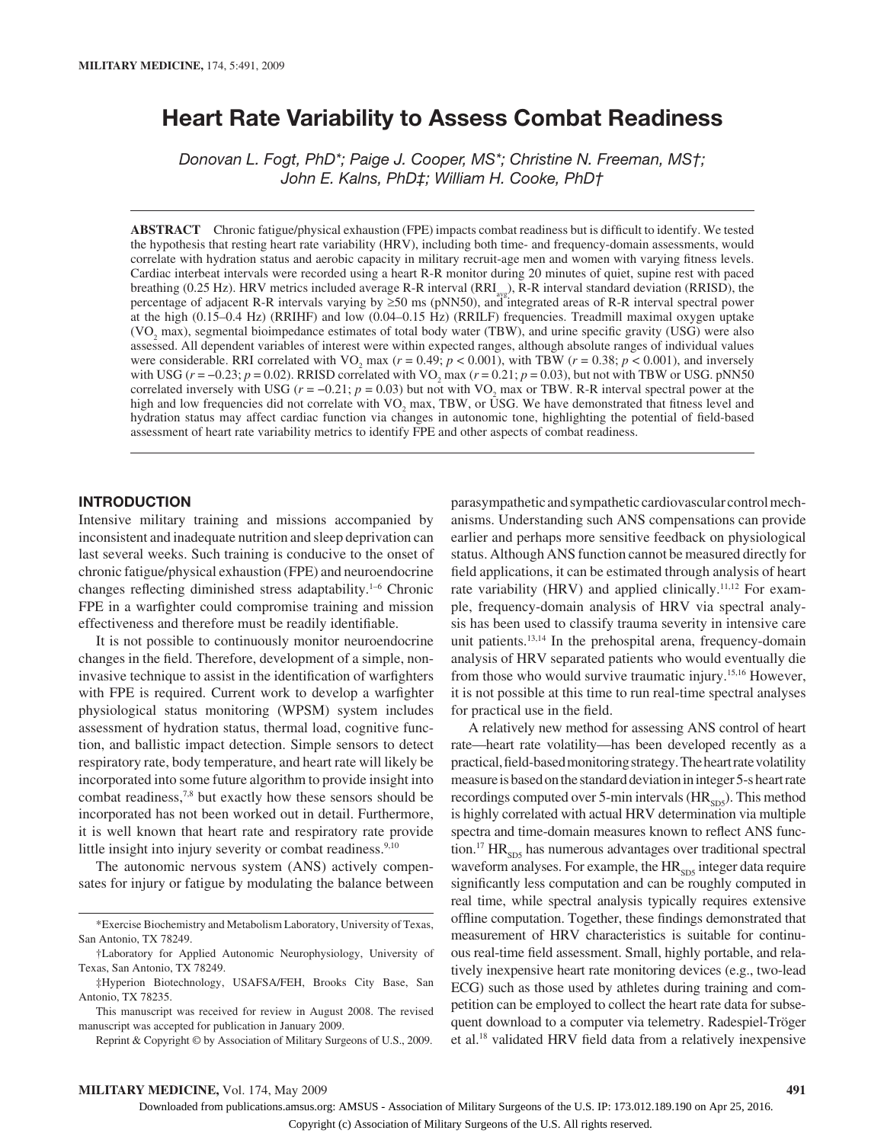# **Heart Rate Variability to Assess Combat Readiness**

*Donovan L. Fogt, PhD<sup>\*</sup>; Paige J. Cooper, MS<sup>\*</sup>; Christine N. Freeman, MS†; John E. Kalns, PhD‡; William H. Cooke, PhD†* 

**ABSTRACT** Chronic fatigue/physical exhaustion (FPE) impacts combat readiness but is difficult to identify. We tested the hypothesis that resting heart rate variability (HRV), including both time- and frequency-domain assessments, would correlate with hydration status and aerobic capacity in military recruit-age men and women with varying fitness levels. Cardiac interbeat intervals were recorded using a heart R-R monitor during 20 minutes of quiet, supine rest with paced breathing (0.25 Hz). HRV metrics included average R-R interval ( $RRI_{av}$ ), R-R interval standard deviation (RRISD), the percentage of adjacent R-R intervals varying by  $\geq$ 50 ms (pNN50), and integrated areas of R-R interval spectral power at the high (0.15–0.4 Hz) (RRIHF) and low (0.04–0.15 Hz) (RRILF) frequencies. Treadmill maximal oxygen uptake  $(VO<sub>2</sub> max)$ , segmental bioimpedance estimates of total body water (TBW), and urine specific gravity (USG) were also assessed. All dependent variables of interest were within expected ranges, although absolute ranges of individual values were considerable. RRI correlated with VO<sub>2</sub> max ( $r = 0.49$ ;  $p < 0.001$ ), with TBW ( $r = 0.38$ ;  $p < 0.001$ ), and inversely with USG ( $r = -0.23$ ;  $p = 0.02$ ). RRISD correlated with VO<sub>2</sub> max ( $r = 0.21$ ;  $p = 0.03$ ), but not with TBW or USG. pNN50 correlated inversely with USG ( $r = -0.21$ ;  $p = 0.03$ ) but not with VO<sub>2</sub> max or TBW. R-R interval spectral power at the high and low frequencies did not correlate with  $VO_2$  max, TBW, or USG. We have demonstrated that fitness level and hydration status may affect cardiac function via changes in autonomic tone, highlighting the potential of field-based assessment of heart rate variability metrics to identify FPE and other aspects of combat readiness.

## **INTRODUCTION**

 Intensive military training and missions accompanied by inconsistent and inadequate nutrition and sleep deprivation can last several weeks. Such training is conducive to the onset of chronic fatigue/physical exhaustion (FPE) and neuroendocrine changes reflecting diminished stress adaptability.<sup>1-6</sup> Chronic FPE in a warfighter could compromise training and mission effectiveness and therefore must be readily identifiable.

 It is not possible to continuously monitor neuroendocrine changes in the field. Therefore, development of a simple, noninvasive technique to assist in the identification of warfighters with FPE is required. Current work to develop a warfighter physiological status monitoring (WPSM) system includes assessment of hydration status, thermal load, cognitive function, and ballistic impact detection. Simple sensors to detect respiratory rate, body temperature, and heart rate will likely be incorporated into some future algorithm to provide insight into combat readiness,<sup>7,8</sup> but exactly how these sensors should be incorporated has not been worked out in detail. Furthermore, it is well known that heart rate and respiratory rate provide little insight into injury severity or combat readiness.<sup>9,10</sup>

 The autonomic nervous system (ANS) actively compensates for injury or fatigue by modulating the balance between

Reprint & Copyright © by Association of Military Surgeons of U.S., 2009.

parasympathetic and sympathetic cardiovascular control mechanisms. Understanding such ANS compensations can provide earlier and perhaps more sensitive feedback on physiological status. Although ANS function cannot be measured directly for field applications, it can be estimated through analysis of heart rate variability (HRV) and applied clinically.<sup>11,12</sup> For example, frequency-domain analysis of HRV via spectral analysis has been used to classify trauma severity in intensive care unit patients. 13,14 In the prehospital arena, frequency-domain analysis of HRV separated patients who would eventually die from those who would survive traumatic injury. 15,16 However, it is not possible at this time to run real-time spectral analyses for practical use in the field.

 A relatively new method for assessing ANS control of heart rate—heart rate volatility—has been developed recently as a practical, field-based monitoring strategy. The heart rate volatility measure is based on the standard deviation in integer 5-s heart rate recordings computed over 5-min intervals  $(HR<sub>SD5</sub>)$ . This method is highly correlated with actual HRV determination via multiple spectra and time-domain measures known to reflect ANS function.<sup>17</sup>  $HR<sub>sDS</sub>$  has numerous advantages over traditional spectral waveform analyses. For example, the  $HR_{SD5}$  integer data require significantly less computation and can be roughly computed in real time, while spectral analysis typically requires extensive offline computation. Together, these findings demonstrated that measurement of HRV characteristics is suitable for continuous real-time field assessment. Small, highly portable, and relatively inexpensive heart rate monitoring devices (e.g., two-lead ECG) such as those used by athletes during training and competition can be employed to collect the heart rate data for subsequent download to a computer via telemetry. Radespiel-Tröger et al.<sup>18</sup> validated HRV field data from a relatively inexpensive

Downloaded from publications.amsus.org: AMSUS - Association of Military Surgeons of the U.S. IP: 173.012.189.190 on Apr 25, 2016.

<sup>\*</sup>Exercise Biochemistry and Metabolism Laboratory, University of Texas, San Antonio, TX 78249.

<sup>†</sup>Laboratory for Applied Autonomic Neurophysiology, University of Texas, San Antonio, TX 78249.

<sup>‡</sup>Hyperion Biotechnology, USAFSA/FEH, Brooks City Base, San Antonio, TX 78235.

This manuscript was received for review in August 2008. The revised manuscript was accepted for publication in January 2009.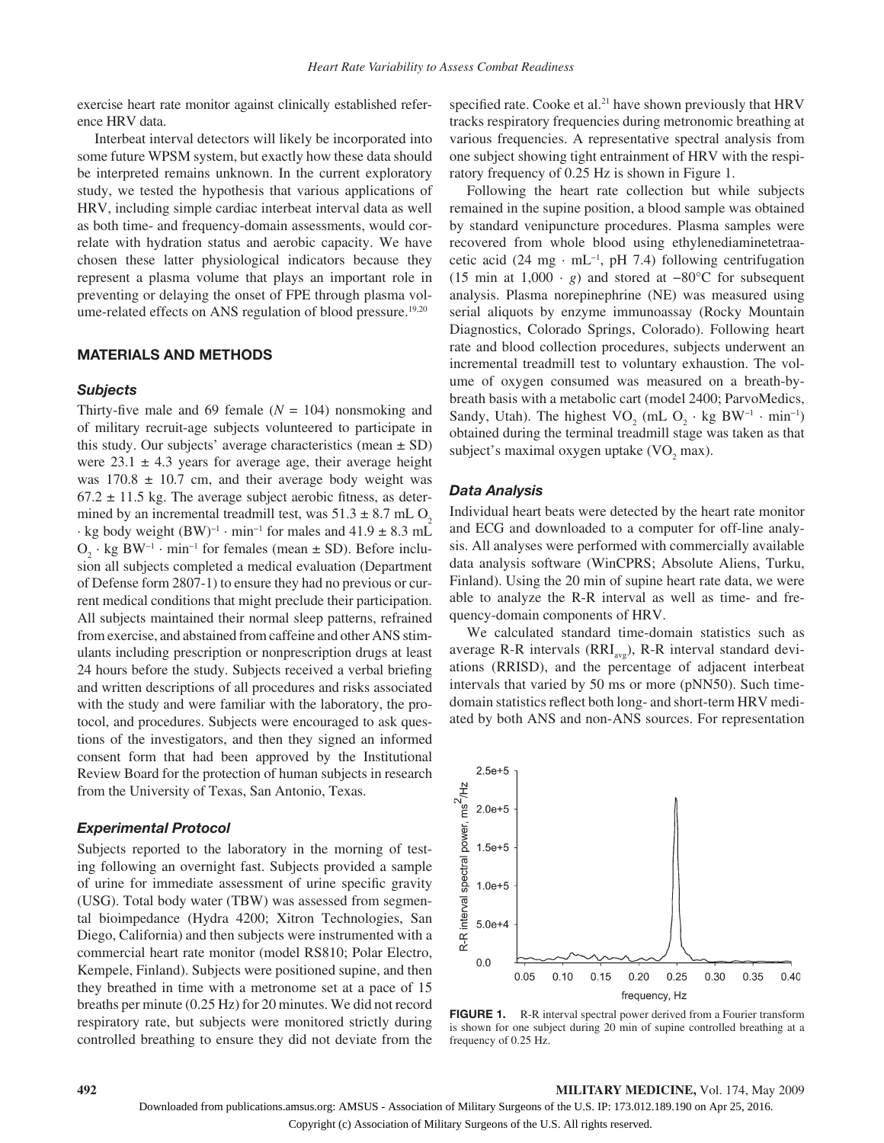exercise heart rate monitor against clinically established reference HRV data.

 Interbeat interval detectors will likely be incorporated into some future WPSM system, but exactly how these data should be interpreted remains unknown. In the current exploratory study, we tested the hypothesis that various applications of HRV, including simple cardiac interbeat interval data as well as both time- and frequency-domain assessments, would correlate with hydration status and aerobic capacity. We have chosen these latter physiological indicators because they represent a plasma volume that plays an important role in preventing or delaying the onset of FPE through plasma volume-related effects on ANS regulation of blood pressure.<sup>19,20</sup>

# **MATERIALS AND METHODS**

# *Subjects*

Thirty-five male and 69 female  $(N = 104)$  nonsmoking and of military recruit-age subjects volunteered to participate in this study. Our subjects' average characteristics (mean  $\pm$  SD) were  $23.1 \pm 4.3$  years for average age, their average height was  $170.8 \pm 10.7$  cm, and their average body weight was  $67.2 \pm 11.5$  kg. The average subject aerobic fitness, as determined by an incremental treadmill test, was  $51.3 \pm 8.7$  mL O<sub>2</sub>  $\cdot$  kg body weight  $(BW)^{-1} \cdot min^{-1}$  for males and  $41.9 \pm 8.3 \text{ mL}$  $O_2 \cdot$  kg BW<sup>-1</sup>  $\cdot$  min<sup>-1</sup> for females (mean  $\pm$  SD). Before inclusion all subjects completed a medical evaluation (Department of Defense form 2807-1) to ensure they had no previous or current medical conditions that might preclude their participation. All subjects maintained their normal sleep patterns, refrained from exercise, and abstained from caffeine and other ANS stimulants including prescription or nonprescription drugs at least 24 hours before the study. Subjects received a verbal briefing and written descriptions of all procedures and risks associated with the study and were familiar with the laboratory, the protocol, and procedures. Subjects were encouraged to ask questions of the investigators, and then they signed an informed consent form that had been approved by the Institutional Review Board for the protection of human subjects in research from the University of Texas, San Antonio, Texas.

## *Experimental Protocol*

 Subjects reported to the laboratory in the morning of testing following an overnight fast. Subjects provided a sample of urine for immediate assessment of urine specific gravity (USG). Total body water (TBW) was assessed from segmental bioimpedance (Hydra 4200; Xitron Technologies, San Diego, California) and then subjects were instrumented with a commercial heart rate monitor (model RS810; Polar Electro, Kempele, Finland). Subjects were positioned supine, and then they breathed in time with a metronome set at a pace of 15 breaths per minute (0.25 Hz) for 20 minutes. We did not record respiratory rate, but subjects were monitored strictly during controlled breathing to ensure they did not deviate from the

specified rate. Cooke et al.<sup>21</sup> have shown previously that HRV tracks respiratory frequencies during metronomic breathing at various frequencies. A representative spectral analysis from one subject showing tight entrainment of HRV with the respiratory frequency of 0.25 Hz is shown in Figure 1.

 Following the heart rate collection but while subjects remained in the supine position, a blood sample was obtained by standard venipuncture procedures. Plasma samples were recovered from whole blood using ethylenediaminetetraacetic acid (24 mg · mL<sup>-1</sup>, pH 7.4) following centrifugation (15 min at 1,000 · *g* ) and stored at −80°C for subsequent analysis. Plasma norepinephrine (NE) was measured using serial aliquots by enzyme immunoassay (Rocky Mountain Diagnostics, Colorado Springs, Colorado). Following heart rate and blood collection procedures, subjects underwent an incremental treadmill test to voluntary exhaustion. The volume of oxygen consumed was measured on a breath-bybreath basis with a metabolic cart (model 2400; ParvoMedics, Sandy, Utah). The highest  $VO_2$  (mL  $O_2 \cdot kg$  BW<sup>-1</sup> · min<sup>-1</sup>) obtained during the terminal treadmill stage was taken as that subject's maximal oxygen uptake  $(VO_2 \text{ max})$ .

#### *Data Analysis*

 Individual heart beats were detected by the heart rate monitor and ECG and downloaded to a computer for off-line analysis. All analyses were performed with commercially available data analysis software (WinCPRS; Absolute Aliens, Turku, Finland). Using the 20 min of supine heart rate data, we were able to analyze the R-R interval as well as time- and frequency-domain components of HRV.

 We calculated standard time-domain statistics such as average R-R intervals  $(RRI_{avg})$ , R-R interval standard deviations (RRISD), and the percentage of adjacent interbeat intervals that varied by 50 ms or more (pNN50). Such timedomain statistics reflect both long- and short-term HRV mediated by both ANS and non-ANS sources. For representation



**FIGURE 1.** R-R interval spectral power derived from a Fourier transform is shown for one subject during 20 min of supine controlled breathing at a frequency of 0.25 Hz.

**492 MILITARY MEDICINE,** Vol. 174, May 2009

Downloaded from publications.amsus.org: AMSUS - Association of Military Surgeons of the U.S. IP: 173.012.189.190 on Apr 25, 2016. Copyright (c) Association of Military Surgeons of the U.S. All rights reserved.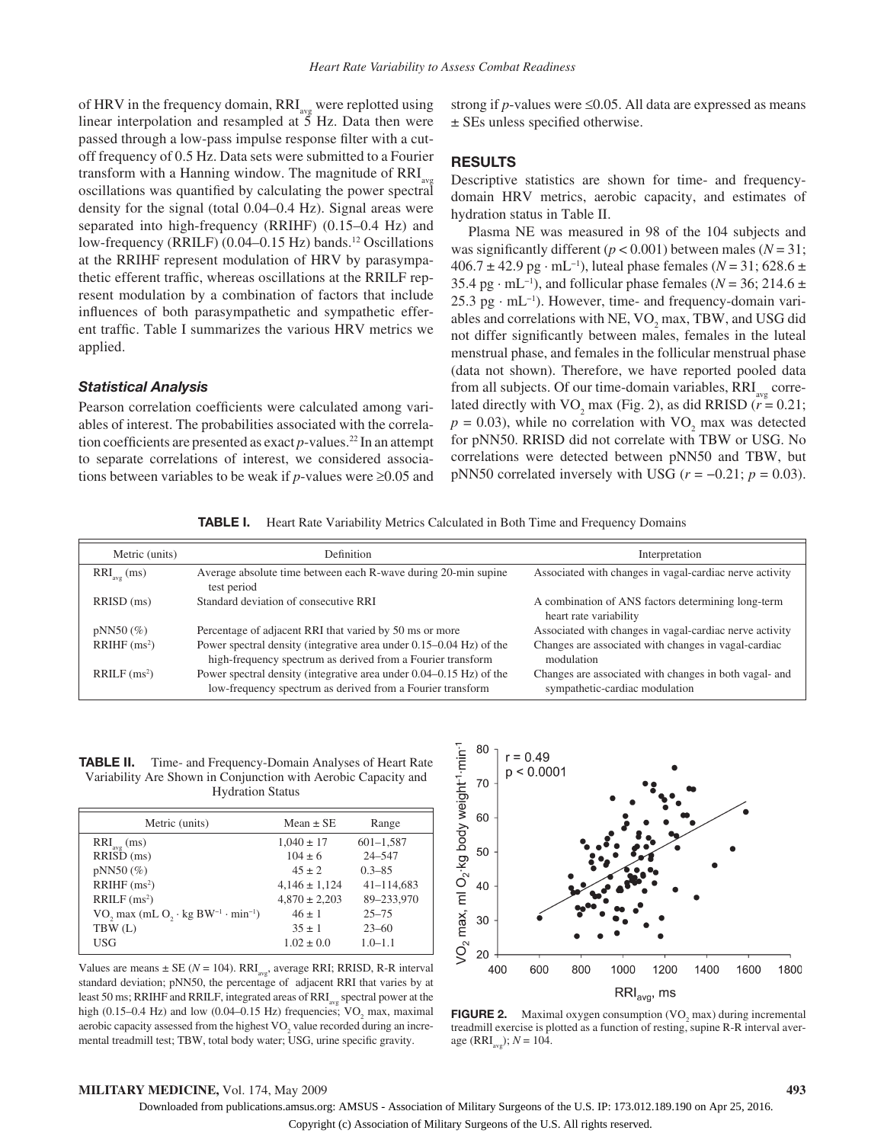of HRV in the frequency domain,  $RRI_{\text{avg}}$  were replotted using linear interpolation and resampled at  $\overline{5}$  Hz. Data then were passed through a low-pass impulse response filter with a cutoff frequency of 0.5 Hz. Data sets were submitted to a Fourier transform with a Hanning window. The magnitude of RRI oscillations was quantified by calculating the power spectral density for the signal (total 0.04–0.4 Hz). Signal areas were separated into high-frequency (RRIHF) (0.15–0.4 Hz) and low-frequency (RRILF) (0.04–0.15 Hz) bands.<sup>12</sup> Oscillations at the RRIHF represent modulation of HRV by parasympathetic efferent traffic, whereas oscillations at the RRILF represent modulation by a combination of factors that include influences of both parasympathetic and sympathetic efferent traffic. Table I summarizes the various HRV metrics we applied.

# *Statistical Analysis*

Pearson correlation coefficients were calculated among variables of interest. The probabilities associated with the correlation coefficients are presented as exact  $p$ -values.<sup>22</sup> In an attempt to separate correlations of interest, we considered associations between variables to be weak if  $p$ -values were  $\geq 0.05$  and strong if  $p$ -values were  $\leq 0.05$ . All data are expressed as means  $\pm$  SEs unless specified otherwise.

## **RESULTS**

 Descriptive statistics are shown for time- and frequencydomain HRV metrics, aerobic capacity, and estimates of hydration status in Table II.

 Plasma NE was measured in 98 of the 104 subjects and was significantly different ( $p < 0.001$ ) between males ( $N = 31$ ; 406.7 ± 42.9 pg · mL<sup>-1</sup>), luteal phase females ( $N = 31$ ; 628.6 ± 35.4 pg  $\cdot$  mL<sup>-1</sup>), and follicular phase females ( $N = 36$ ; 214.6  $\pm$ 25.3 pg · mL<sup>-1</sup>). However, time- and frequency-domain variables and correlations with NE,  $\rm VO_{2}$  max, TBW, and USG did not differ significantly between males, females in the luteal menstrual phase, and females in the follicular menstrual phase (data not shown). Therefore, we have reported pooled data from all subjects. Of our time-domain variables,  $\text{RRI}_{\text{avg}}$  correlated directly with  $VO_2$  max (Fig. 2), as did RRISD ( $r = 0.21$ ;  $p = 0.03$ ), while no correlation with  $VO<sub>2</sub>$  max was detected for pNN50. RRISD did not correlate with TBW or USG. No correlations were detected between pNN50 and TBW, but pNN50 correlated inversely with USG ( $r = -0.21$ ;  $p = 0.03$ ).

**TABLE I.** Heart Rate Variability Metrics Calculated in Both Time and Frequency Domains

| Metric (units)                 | Definition                                                                                                                         | Interpretation                                                                           |
|--------------------------------|------------------------------------------------------------------------------------------------------------------------------------|------------------------------------------------------------------------------------------|
| $\text{RRI}_{\text{avg}}$ (ms) | Average absolute time between each R-wave during 20-min supine<br>test period                                                      | Associated with changes in vagal-cardiac nerve activity                                  |
| $RRISD$ (ms)                   | Standard deviation of consecutive RRI                                                                                              | A combination of ANS factors determining long-term<br>heart rate variability             |
| $pNN50 (\%)$                   | Percentage of adjacent RRI that varied by 50 ms or more                                                                            | Associated with changes in vagal-cardiac nerve activity                                  |
| $RRIHF$ (ms <sup>2</sup> )     | Power spectral density (integrative area under 0.15–0.04 Hz) of the<br>high-frequency spectrum as derived from a Fourier transform | Changes are associated with changes in vagal-cardiac<br>modulation                       |
| $RRILF$ (ms <sup>2</sup> )     | Power spectral density (integrative area under 0.04–0.15 Hz) of the<br>low-frequency spectrum as derived from a Fourier transform  | Changes are associated with changes in both vagal- and<br>sympathetic-cardiac modulation |

**TABLE II.** Time- and Frequency-Domain Analyses of Heart Rate Variability Are Shown in Conjunction with Aerobic Capacity and Hydration Status

| Metric (units)                                                         | Mean $\pm$ SE     | Range          |
|------------------------------------------------------------------------|-------------------|----------------|
| $\text{RRI}_{\text{ave}}$ (ms)                                         | $1,040 \pm 17$    | $601 - 1,587$  |
| $RRISD$ (ms)                                                           | $104 \pm 6$       | $24 - 547$     |
| $pNN50$ (%)                                                            | $45 \pm 2$        | $0.3 - 8.5$    |
| $RRIHF$ (ms <sup>2</sup> )                                             | $4,146 \pm 1,124$ | $41 - 114,683$ |
| RRILF $(ms^2)$                                                         | $4,870 \pm 2,203$ | 89-233,970     |
| VO, max (mL O, $\cdot$ kg BW <sup>-1</sup> $\cdot$ min <sup>-1</sup> ) | $46 \pm 1$        | $25 - 75$      |
| TBW(L)                                                                 | $35 \pm 1$        | $23 - 60$      |
| USG                                                                    | $1.02 \pm 0.0$    | $1.0 - 1.1$    |

Values are means  $\pm$  SE ( $N = 104$ ). RRI<sub>avg</sub>, average RRI; RRISD, R-R interval standard deviation; pNN50, the percentage of adjacent RRI that varies by at least 50 ms; RRIHF and RRILF, integrated areas of RRI<sub>svs</sub> spectral power at the high  $(0.15-0.4 \text{ Hz})$  and low  $(0.04-0.15 \text{ Hz})$  frequencies;  $\text{VO}_2$  max, maximal aerobic capacity assessed from the highest  $VO_2$  value recorded during an incremental treadmill test; TBW, total body water; USG, urine specific gravity.



**FIGURE 2.** Maximal oxygen consumption  $(VO_2 \text{ max})$  during incremental treadmill exercise is plotted as a function of resting, supine R-R interval average (RRI<sub>avg</sub>);  $N = 104$ .

## **MILITARY MEDICINE,** Vol. 174, May 2009 **493**

Downloaded from publications.amsus.org: AMSUS - Association of Military Surgeons of the U.S. IP: 173.012.189.190 on Apr 25, 2016.

Copyright (c) Association of Military Surgeons of the U.S. All rights reserved.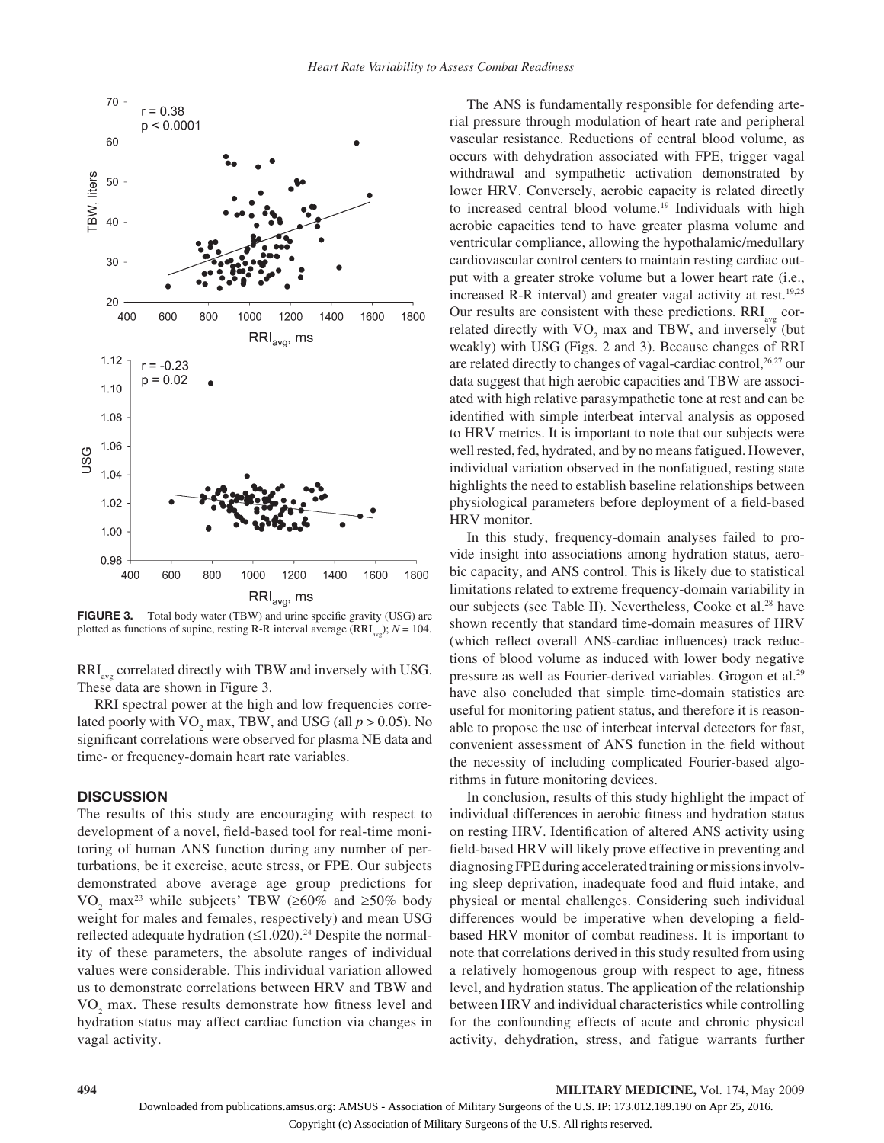

**FIGURE 3.** Total body water (TBW) and urine specific gravity (USG) are plotted as functions of supine, resting R-R interval average  $(RRI<sub>av</sub><sub>v</sub>)$ ;  $N = 104$ .

 $RRI_{\text{avg}}$  correlated directly with TBW and inversely with USG. These data are shown in Figure 3.

 RRI spectral power at the high and low frequencies correlated poorly with  $VO_2$  max, TBW, and USG (all  $p > 0.05$ ). No significant correlations were observed for plasma NE data and time- or frequency-domain heart rate variables.

# **DISCUSSION**

 The results of this study are encouraging with respect to development of a novel, field-based tool for real-time monitoring of human ANS function during any number of perturbations, be it exercise, acute stress, or FPE. Our subjects demonstrated above average age group predictions for VO<sub>2</sub> max<sup>23</sup> while subjects' TBW ( $\geq 60\%$  and  $\geq 50\%$  body weight for males and females, respectively) and mean USG reflected adequate hydration  $(\leq 1.020)^{24}$  Despite the normality of these parameters, the absolute ranges of individual values were considerable. This individual variation allowed us to demonstrate correlations between HRV and TBW and  $VO<sub>2</sub>$  max. These results demonstrate how fitness level and hydration status may affect cardiac function via changes in vagal activity.

 The ANS is fundamentally responsible for defending arterial pressure through modulation of heart rate and peripheral vascular resistance. Reductions of central blood volume, as occurs with dehydration associated with FPE, trigger vagal withdrawal and sympathetic activation demonstrated by lower HRV. Conversely, aerobic capacity is related directly to increased central blood volume.<sup>19</sup> Individuals with high aerobic capacities tend to have greater plasma volume and ventricular compliance, allowing the hypothalamic/medullary cardiovascular control centers to maintain resting cardiac output with a greater stroke volume but a lower heart rate (i.e., increased R-R interval) and greater vagal activity at rest.<sup>19,25</sup> Our results are consistent with these predictions.  $\text{RRI}_{\text{av}}$  correlated directly with  $VO<sub>2</sub>$  max and TBW, and inversely (but weakly) with USG (Figs. 2 and 3). Because changes of RRI are related directly to changes of vagal-cardiac control, 26,27 our data suggest that high aerobic capacities and TBW are associated with high relative parasympathetic tone at rest and can be identified with simple interbeat interval analysis as opposed to HRV metrics. It is important to note that our subjects were well rested, fed, hydrated, and by no means fatigued. However, individual variation observed in the nonfatigued, resting state highlights the need to establish baseline relationships between physiological parameters before deployment of a field-based HRV monitor.

 In this study, frequency-domain analyses failed to provide insight into associations among hydration status, aerobic capacity, and ANS control. This is likely due to statistical limitations related to extreme frequency-domain variability in our subjects (see Table II). Nevertheless, Cooke et al.<sup>28</sup> have shown recently that standard time-domain measures of HRV (which reflect overall ANS-cardiac influences) track reductions of blood volume as induced with lower body negative pressure as well as Fourier-derived variables. Grogon et al.<sup>29</sup> have also concluded that simple time-domain statistics are useful for monitoring patient status, and therefore it is reasonable to propose the use of interbeat interval detectors for fast, convenient assessment of ANS function in the field without the necessity of including complicated Fourier-based algorithms in future monitoring devices.

 In conclusion, results of this study highlight the impact of individual differences in aerobic fitness and hydration status on resting HRV. Identification of altered ANS activity using field-based HRV will likely prove effective in preventing and diagnosing FPE during accelerated training or missions involving sleep deprivation, inadequate food and fluid intake, and physical or mental challenges. Considering such individual differences would be imperative when developing a fieldbased HRV monitor of combat readiness. It is important to note that correlations derived in this study resulted from using a relatively homogenous group with respect to age, fitness level, and hydration status. The application of the relationship between HRV and individual characteristics while controlling for the confounding effects of acute and chronic physical activity, dehydration, stress, and fatigue warrants further

**494 MILITARY MEDICINE,** Vol. 174, May 2009

Downloaded from publications.amsus.org: AMSUS - Association of Military Surgeons of the U.S. IP: 173.012.189.190 on Apr 25, 2016. Copyright (c) Association of Military Surgeons of the U.S. All rights reserved.